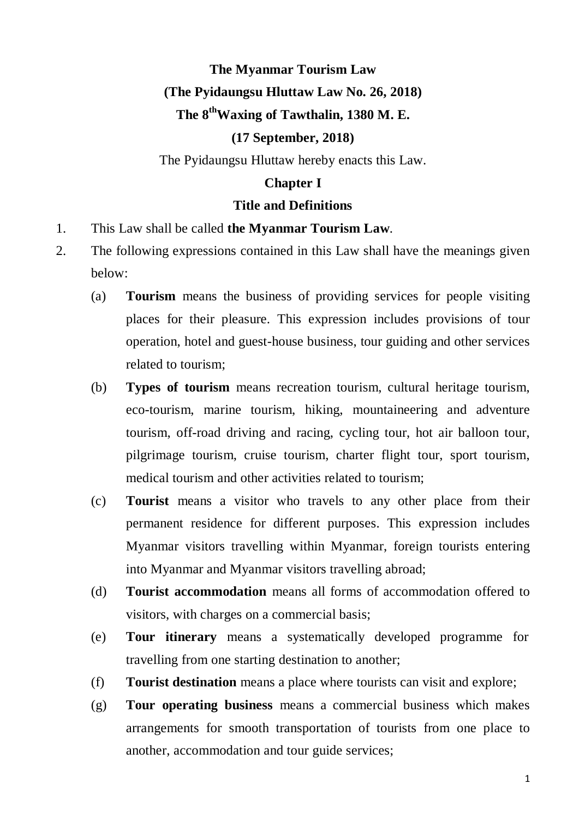# **The Myanmar Tourism Law (The Pyidaungsu Hluttaw Law No. 26, 2018) The 8 thWaxing of Tawthalin, 1380 M. E.**

## **(17 September, 2018)**

The Pyidaungsu Hluttaw hereby enacts this Law.

### **Chapter I**

#### **Title and Definitions**

- 1. This Law shall be called **the Myanmar Tourism Law**.
- 2. The following expressions contained in this Law shall have the meanings given below:
	- (a) **Tourism** means the business of providing services for people visiting places for their pleasure. This expression includes provisions of tour operation, hotel and guest-house business, tour guiding and other services related to tourism;
	- (b) **Types of tourism** means recreation tourism, cultural heritage tourism, eco-tourism, marine tourism, hiking, mountaineering and adventure tourism, off-road driving and racing, cycling tour, hot air balloon tour, pilgrimage tourism, cruise tourism, charter flight tour, sport tourism, medical tourism and other activities related to tourism;
	- (c) **Tourist** means a visitor who travels to any other place from their permanent residence for different purposes. This expression includes Myanmar visitors travelling within Myanmar, foreign tourists entering into Myanmar and Myanmar visitors travelling abroad;
	- (d) **Tourist accommodation** means all forms of accommodation offered to visitors, with charges on a commercial basis;
	- (e) **Tour itinerary** means a systematically developed programme for travelling from one starting destination to another;
	- (f) **Tourist destination** means a place where tourists can visit and explore;
	- (g) **Tour operating business** means a commercial business which makes arrangements for smooth transportation of tourists from one place to another, accommodation and tour guide services;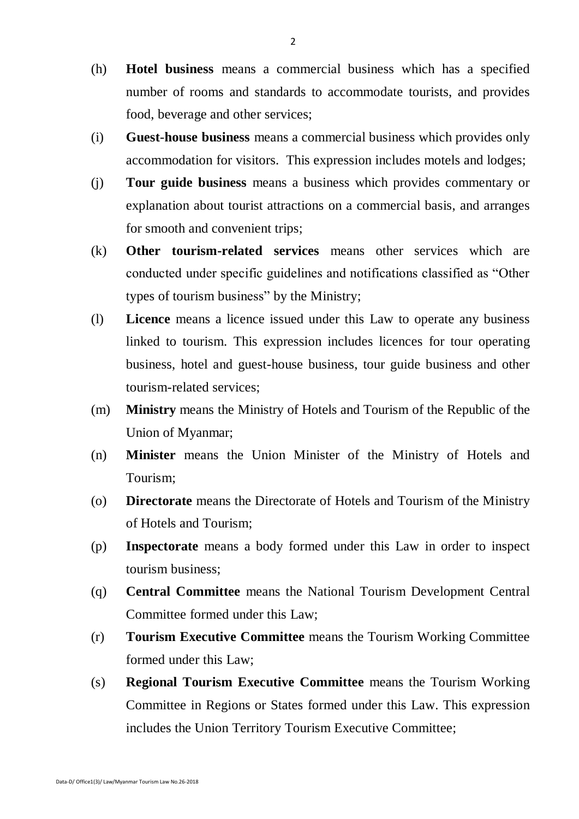- (h) **Hotel business** means a commercial business which has a specified number of rooms and standards to accommodate tourists, and provides food, beverage and other services;
- (i) **Guest**-**house business** means a commercial business which provides only accommodation for visitors. This expression includes motels and lodges;
- (j) **Tour guide business** means a business which provides commentary or explanation about tourist attractions on a commercial basis, and arranges for smooth and convenient trips;
- (k) **Other tourism-related services** means other services which are conducted under specific guidelines and notifications classified as "Other types of tourism business" by the Ministry;
- (l) **Licence** means a licence issued under this Law to operate any business linked to tourism. This expression includes licences for tour operating business, hotel and guest-house business, tour guide business and other tourism-related services;
- (m) **Ministry** means the Ministry of Hotels and Tourism of the Republic of the Union of Myanmar;
- (n) **Minister** means the Union Minister of the Ministry of Hotels and Tourism;
- (o) **Directorate** means the Directorate of Hotels and Tourism of the Ministry of Hotels and Tourism;
- (p) **Inspectorate** means a body formed under this Law in order to inspect tourism business;
- (q) **Central Committee** means the National Tourism Development Central Committee formed under this Law;
- (r) **Tourism Executive Committee** means the Tourism Working Committee formed under this Law;
- (s) **Regional Tourism Executive Committee** means the Tourism Working Committee in Regions or States formed under this Law. This expression includes the Union Territory Tourism Executive Committee;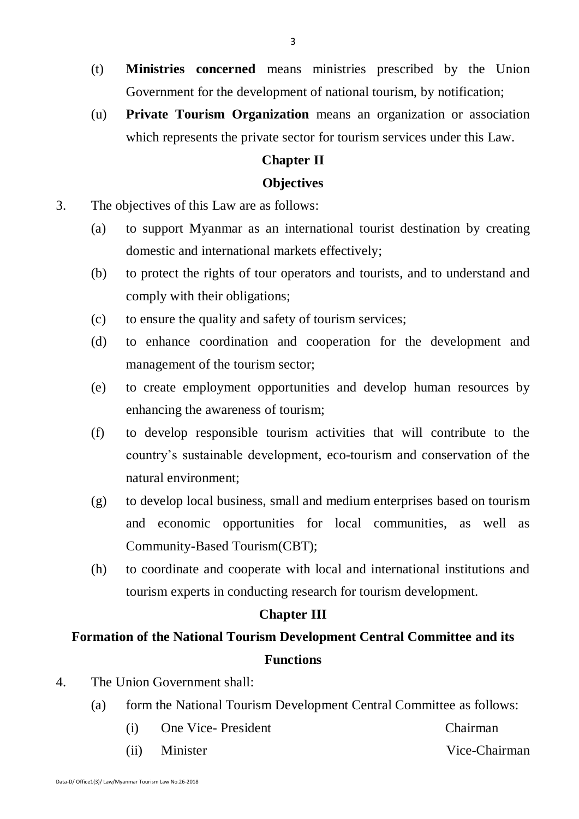- (t) **Ministries concerned** means ministries prescribed by the Union Government for the development of national tourism, by notification;
- (u) **Private Tourism Organization** means an organization or association which represents the private sector for tourism services under this Law.

#### **Chapter II**

#### **Objectives**

- 3. The objectives of this Law are as follows:
	- (a) to support Myanmar as an international tourist destination by creating domestic and international markets effectively;
	- (b) to protect the rights of tour operators and tourists, and to understand and comply with their obligations;
	- (c) to ensure the quality and safety of tourism services;
	- (d) to enhance coordination and cooperation for the development and management of the tourism sector;
	- (e) to create employment opportunities and develop human resources by enhancing the awareness of tourism;
	- (f) to develop responsible tourism activities that will contribute to the country's sustainable development, eco-tourism and conservation of the natural environment;
	- (g) to develop local business, small and medium enterprises based on tourism and economic opportunities for local communities, as well as Community-Based Tourism(CBT);
	- (h) to coordinate and cooperate with local and international institutions and tourism experts in conducting research for tourism development.

#### **Chapter III**

## **Formation of the National Tourism Development Central Committee and its Functions**

- 4. The Union Government shall:
	- (a) form the National Tourism Development Central Committee as follows:
		- (i) One Vice-President Chairman
		- (ii) Minister Vice-Chairman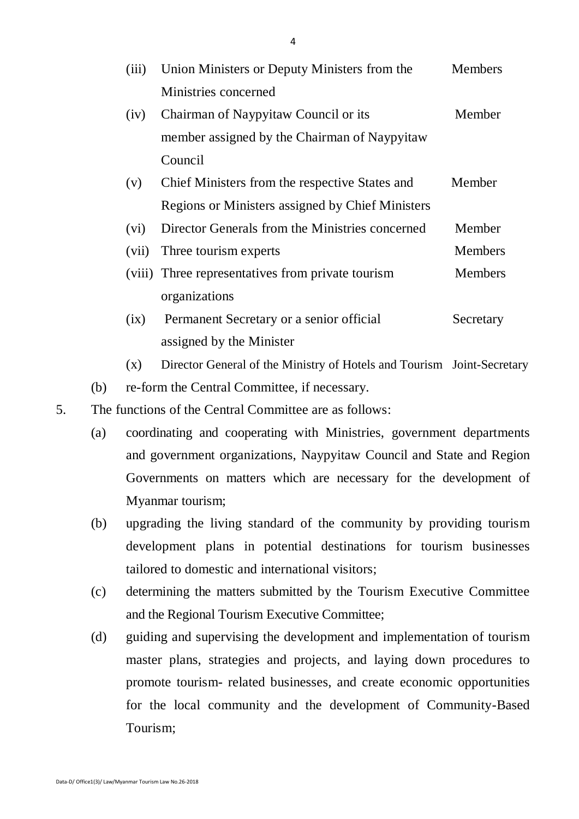| (iii) | Union Ministers or Deputy Ministers from the      | <b>Members</b> |
|-------|---------------------------------------------------|----------------|
|       | Ministries concerned                              |                |
| (iv)  | Chairman of Naypyitaw Council or its              | Member         |
|       | member assigned by the Chairman of Naypyitaw      |                |
|       | Council                                           |                |
| (v)   | Chief Ministers from the respective States and    | Member         |
|       | Regions or Ministers assigned by Chief Ministers  |                |
| (vi)  | Director Generals from the Ministries concerned   | Member         |
| (vii) | Three tourism experts                             | <b>Members</b> |
|       | (viii) Three representatives from private tourism | <b>Members</b> |
|       | organizations                                     |                |
| (ix)  | Permanent Secretary or a senior official          | Secretary      |
|       | assigned by the Minister                          |                |

(x) Director General of the Ministry of Hotels and Tourism Joint-Secretary

(b) re-form the Central Committee, if necessary.

5. The functions of the Central Committee are as follows:

- (a) coordinating and cooperating with Ministries, government departments and government organizations, Naypyitaw Council and State and Region Governments on matters which are necessary for the development of Myanmar tourism;
- (b) upgrading the living standard of the community by providing tourism development plans in potential destinations for tourism businesses tailored to domestic and international visitors;
- (c) determining the matters submitted by the Tourism Executive Committee and the Regional Tourism Executive Committee;
- (d) guiding and supervising the development and implementation of tourism master plans, strategies and projects, and laying down procedures to promote tourism- related businesses, and create economic opportunities for the local community and the development of Community-Based Tourism;

4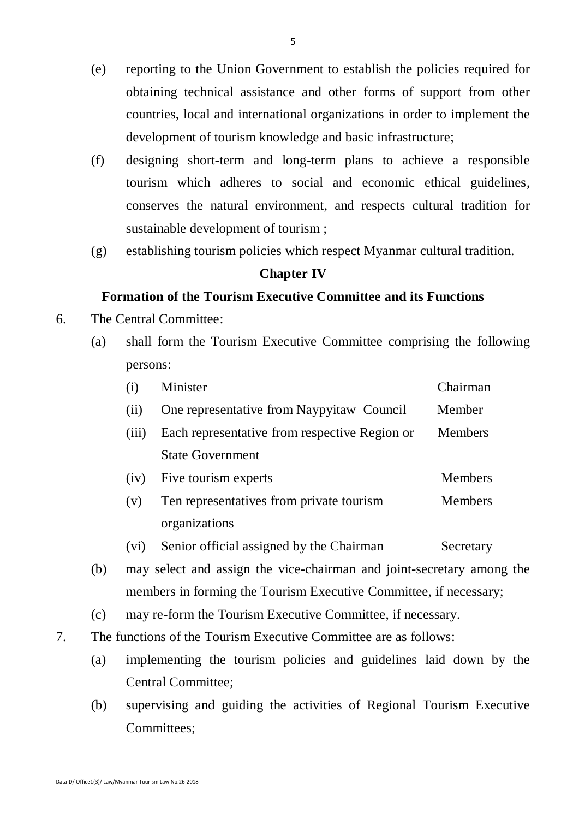- (e) reporting to the Union Government to establish the policies required for obtaining technical assistance and other forms of support from other countries, local and international organizations in order to implement the development of tourism knowledge and basic infrastructure;
- (f) designing short-term and long-term plans to achieve a responsible tourism which adheres to social and economic ethical guidelines, conserves the natural environment, and respects cultural tradition for sustainable development of tourism ;
- (g) establishing tourism policies which respect Myanmar cultural tradition.

#### **Chapter IV**

#### **Formation of the Tourism Executive Committee and its Functions**

- 6. The Central Committee:
	- (a) shall form the Tourism Executive Committee comprising the following persons:

| (i)   | Minister                                      | Chairman       |
|-------|-----------------------------------------------|----------------|
| (i)   | One representative from Naypyitaw Council     | Member         |
| (iii) | Each representative from respective Region or | <b>Members</b> |
|       | <b>State Government</b>                       |                |
| (iv)  | Five tourism experts                          | <b>Members</b> |
| (v)   | Ten representatives from private tourism      | <b>Members</b> |
|       | organizations                                 |                |

- (vi) Senior official assigned by the Chairman Secretary
- (b) may select and assign the vice-chairman and joint-secretary among the members in forming the Tourism Executive Committee, if necessary;
- (c) may re-form the Tourism Executive Committee, if necessary.
- 7. The functions of the Tourism Executive Committee are as follows:
	- (a) implementing the tourism policies and guidelines laid down by the Central Committee;
	- (b) supervising and guiding the activities of Regional Tourism Executive Committees;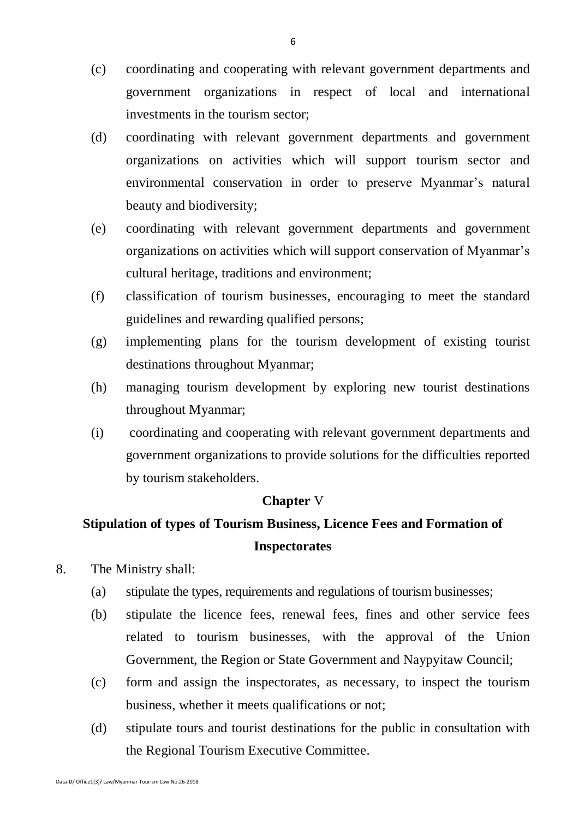- (c) coordinating and cooperating with relevant government departments and government organizations in respect of local and international investments in the tourism sector;
- (d) coordinating with relevant government departments and government organizations on activities which will support tourism sector and environmental conservation in order to preserve Myanmar's natural beauty and biodiversity;
- (e) coordinating with relevant government departments and government organizations on activities which will support conservation of Myanmar's cultural heritage, traditions and environment;
- (f) classification of tourism businesses, encouraging to meet the standard guidelines and rewarding qualified persons;
- (g) implementing plans for the tourism development of existing tourist destinations throughout Myanmar;
- (h) managing tourism development by exploring new tourist destinations throughout Myanmar;
- (i) coordinating and cooperating with relevant government departments and government organizations to provide solutions for the difficulties reported by tourism stakeholders.

#### **Chapter** V

## **Stipulation of types of Tourism Business, Licence Fees and Formation of Inspectorates**

- 8. The Ministry shall:
	- (a) stipulate the types, requirements and regulations of tourism businesses;
	- (b) stipulate the licence fees, renewal fees, fines and other service fees related to tourism businesses, with the approval of the Union Government, the Region or State Government and Naypyitaw Council;
	- (c) form and assign the inspectorates, as necessary, to inspect the tourism business, whether it meets qualifications or not;
	- (d) stipulate tours and tourist destinations for the public in consultation with the Regional Tourism Executive Committee.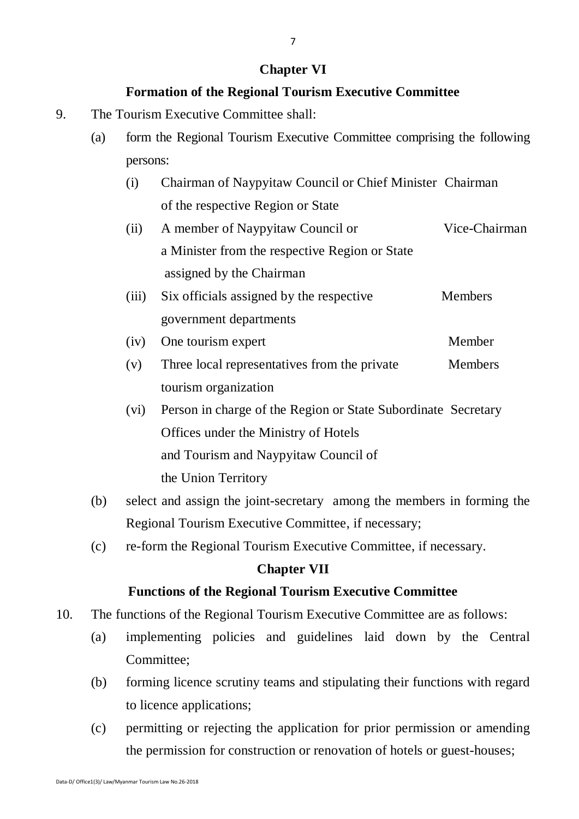## **Chapter VI**

## **Formation of the Regional Tourism Executive Committee**

- 9. The Tourism Executive Committee shall:
	- (a) form the Regional Tourism Executive Committee comprising the following persons:
		- (i) Chairman of Naypyitaw Council or Chief Minister Chairman of the respective Region or State
		- (ii) A member of Naypyitaw Council or Vice-Chairman a Minister from the respective Region or State assigned by the Chairman
		- (iii) Six officials assigned by the respective Members government departments
		- (iv) One tourism expert Member
		- (v) Three local representatives from the private Members tourism organization
		- (vi) Person in charge of the Region or State Subordinate Secretary Offices under the Ministry of Hotels and Tourism and Naypyitaw Council of the Union Territory
	- (b) select and assign the joint-secretary among the members in forming the Regional Tourism Executive Committee, if necessary;
	- (c) re-form the Regional Tourism Executive Committee, if necessary.

## **Chapter VII**

## **Functions of the Regional Tourism Executive Committee**

- 10. The functions of the Regional Tourism Executive Committee are as follows:
	- (a) implementing policies and guidelines laid down by the Central Committee;
	- (b) forming licence scrutiny teams and stipulating their functions with regard to licence applications;
	- (c) permitting or rejecting the application for prior permission or amending the permission for construction or renovation of hotels or guest-houses;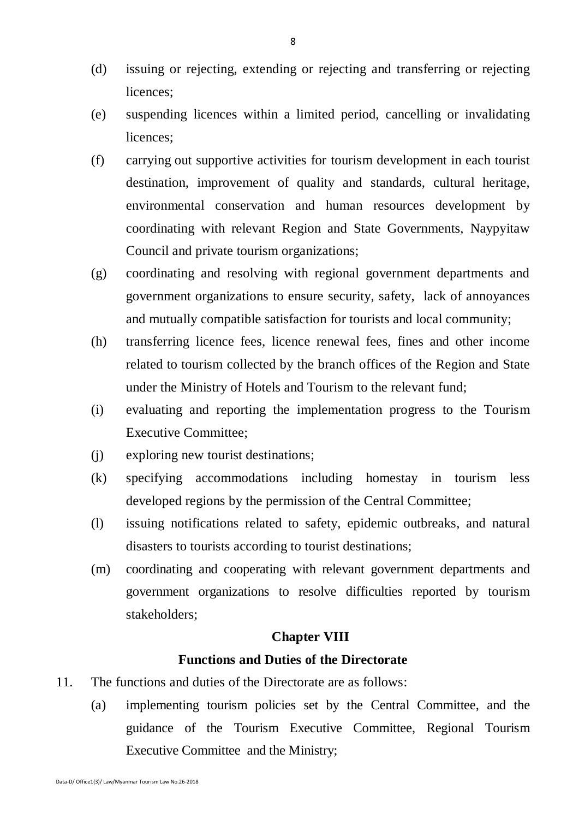- (d) issuing or rejecting, extending or rejecting and transferring or rejecting licences;
- (e) suspending licences within a limited period, cancelling or invalidating licences;
- (f) carrying out supportive activities for tourism development in each tourist destination, improvement of quality and standards, cultural heritage, environmental conservation and human resources development by coordinating with relevant Region and State Governments, Naypyitaw Council and private tourism organizations;
- (g) coordinating and resolving with regional government departments and government organizations to ensure security, safety, lack of annoyances and mutually compatible satisfaction for tourists and local community;
- (h) transferring licence fees, licence renewal fees, fines and other income related to tourism collected by the branch offices of the Region and State under the Ministry of Hotels and Tourism to the relevant fund;
- (i) evaluating and reporting the implementation progress to the Tourism Executive Committee;
- (j) exploring new tourist destinations;
- (k) specifying accommodations including homestay in tourism less developed regions by the permission of the Central Committee;
- (l) issuing notifications related to safety, epidemic outbreaks, and natural disasters to tourists according to tourist destinations;
- (m) coordinating and cooperating with relevant government departments and government organizations to resolve difficulties reported by tourism stakeholders;

#### **Chapter VIII**

#### **Functions and Duties of the Directorate**

- 11. The functions and duties of the Directorate are as follows:
	- (a) implementing tourism policies set by the Central Committee, and the guidance of the Tourism Executive Committee, Regional Tourism Executive Committee and the Ministry;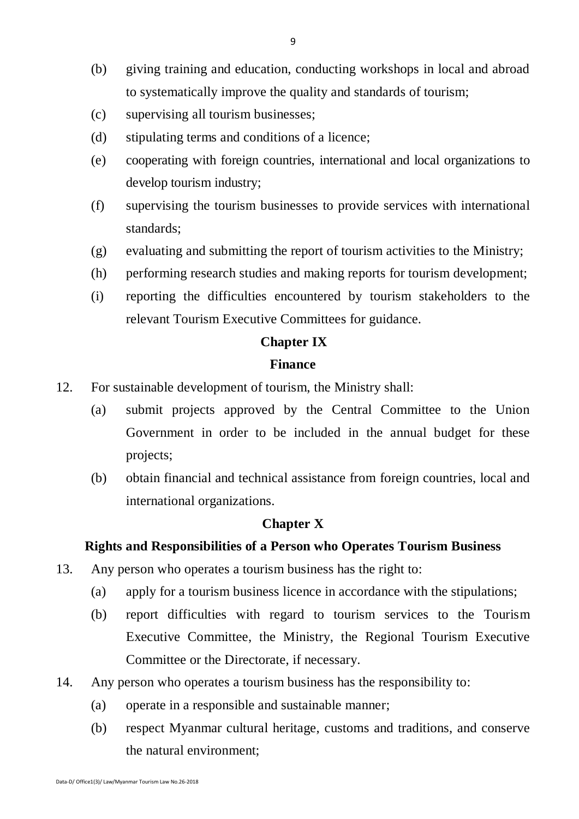- (b) giving training and education, conducting workshops in local and abroad to systematically improve the quality and standards of tourism;
- (c) supervising all tourism businesses;
- (d) stipulating terms and conditions of a licence;
- (e) cooperating with foreign countries, international and local organizations to develop tourism industry;
- (f) supervising the tourism businesses to provide services with international standards;
- (g) evaluating and submitting the report of tourism activities to the Ministry;
- (h) performing research studies and making reports for tourism development;
- (i) reporting the difficulties encountered by tourism stakeholders to the relevant Tourism Executive Committees for guidance.

#### **Chapter IX**

#### **Finance**

- 12. For sustainable development of tourism, the Ministry shall:
	- (a) submit projects approved by the Central Committee to the Union Government in order to be included in the annual budget for these projects;
	- (b) obtain financial and technical assistance from foreign countries, local and international organizations.

#### **Chapter X**

#### **Rights and Responsibilities of a Person who Operates Tourism Business**

- 13. Any person who operates a tourism business has the right to:
	- (a) apply for a tourism business licence in accordance with the stipulations;
	- (b) report difficulties with regard to tourism services to the Tourism Executive Committee, the Ministry, the Regional Tourism Executive Committee or the Directorate, if necessary.
- 14. Any person who operates a tourism business has the responsibility to:
	- (a) operate in a responsible and sustainable manner;
	- (b) respect Myanmar cultural heritage, customs and traditions, and conserve the natural environment;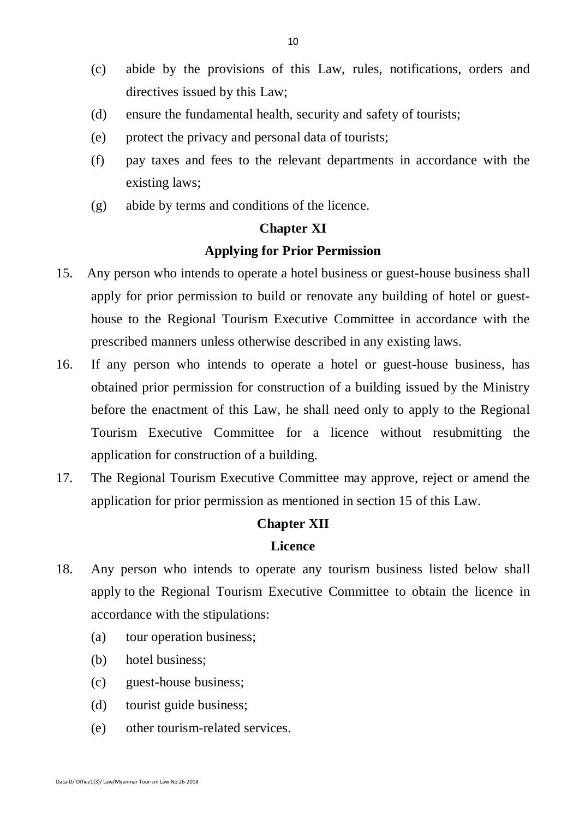- (c) abide by the provisions of this Law, rules, notifications, orders and directives issued by this Law;
- (d) ensure the fundamental health, security and safety of tourists;
- (e) protect the privacy and personal data of tourists;
- (f) pay taxes and fees to the relevant departments in accordance with the existing laws;
- (g) abide by terms and conditions of the licence.

#### **Chapter XI**

#### **Applying for Prior Permission**

- 15. Any person who intends to operate a hotel business or guest-house business shall apply for prior permission to build or renovate any building of hotel or guesthouse to the Regional Tourism Executive Committee in accordance with the prescribed manners unless otherwise described in any existing laws.
- 16. If any person who intends to operate a hotel or guest-house business, has obtained prior permission for construction of a building issued by the Ministry before the enactment of this Law, he shall need only to apply to the Regional Tourism Executive Committee for a licence without resubmitting the application for construction of a building.
- 17. The Regional Tourism Executive Committee may approve, reject or amend the application for prior permission as mentioned in section 15 of this Law.

#### **Chapter XII**

#### **Licence**

- 18. Any person who intends to operate any tourism business listed below shall apply to the Regional Tourism Executive Committee to obtain the licence in accordance with the stipulations:
	- (a) tour operation business;
	- (b) hotel business;
	- (c) guest-house business;
	- (d) tourist guide business;
	- (e) other tourism-related services.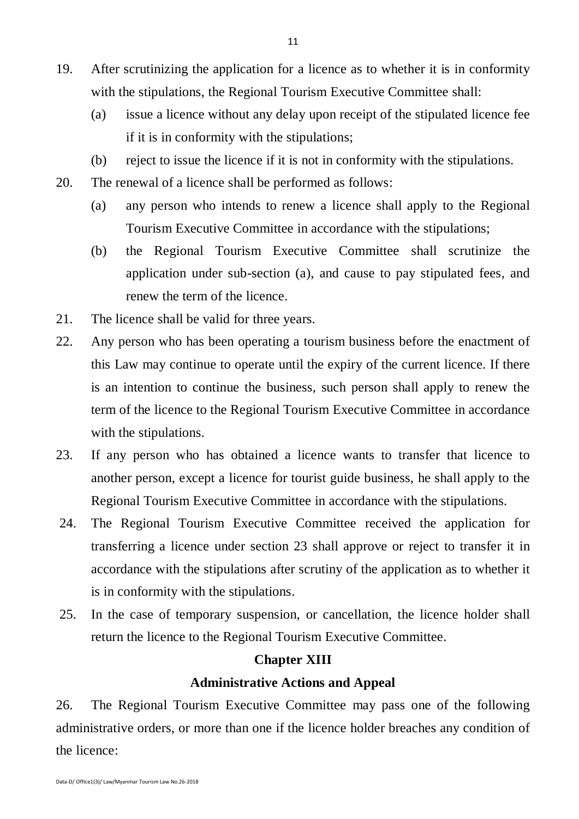- 19. After scrutinizing the application for a licence as to whether it is in conformity with the stipulations, the Regional Tourism Executive Committee shall:
	- (a) issue a licence without any delay upon receipt of the stipulated licence fee if it is in conformity with the stipulations;
	- (b) reject to issue the licence if it is not in conformity with the stipulations.
- 20. The renewal of a licence shall be performed as follows:
	- (a) any person who intends to renew a licence shall apply to the Regional Tourism Executive Committee in accordance with the stipulations;
	- (b) the Regional Tourism Executive Committee shall scrutinize the application under sub-section (a), and cause to pay stipulated fees, and renew the term of the licence.
- 21. The licence shall be valid for three years.
- 22. Any person who has been operating a tourism business before the enactment of this Law may continue to operate until the expiry of the current licence. If there is an intention to continue the business, such person shall apply to renew the term of the licence to the Regional Tourism Executive Committee in accordance with the stipulations.
- 23. If any person who has obtained a licence wants to transfer that licence to another person, except a licence for tourist guide business, he shall apply to the Regional Tourism Executive Committee in accordance with the stipulations.
- 24. The Regional Tourism Executive Committee received the application for transferring a licence under section 23 shall approve or reject to transfer it in accordance with the stipulations after scrutiny of the application as to whether it is in conformity with the stipulations.
- 25. In the case of temporary suspension, or cancellation, the licence holder shall return the licence to the Regional Tourism Executive Committee.

### **Chapter XIII**

## **Administrative Actions and Appeal**

26. The Regional Tourism Executive Committee may pass one of the following administrative orders, or more than one if the licence holder breaches any condition of the licence: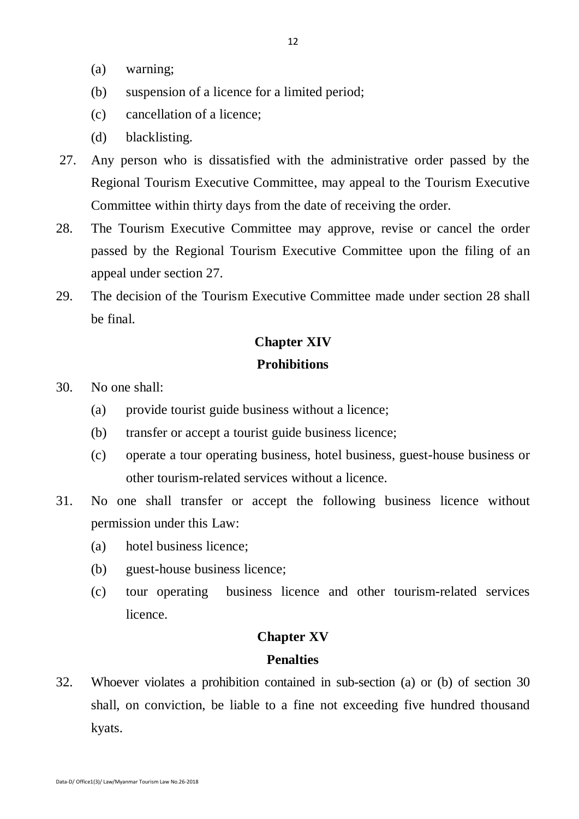- (a) warning;
- (b) suspension of a licence for a limited period;
- (c) cancellation of a licence;
- (d) blacklisting.
- 27. Any person who is dissatisfied with the administrative order passed by the Regional Tourism Executive Committee, may appeal to the Tourism Executive Committee within thirty days from the date of receiving the order.
- 28. The Tourism Executive Committee may approve, revise or cancel the order passed by the Regional Tourism Executive Committee upon the filing of an appeal under section 27.
- 29. The decision of the Tourism Executive Committee made under section 28 shall be final.

## **Chapter XIV Prohibitions**

- 30. No one shall:
	- (a) provide tourist guide business without a licence;
	- (b) transfer or accept a tourist guide business licence;
	- (c) operate a tour operating business, hotel business, guest-house business or other tourism-related services without a licence.
- 31. No one shall transfer or accept the following business licence without permission under this Law:
	- (a) hotel business licence;
	- (b) guest-house business licence;
	- (c) tour operating business licence and other tourism-related services licence.

#### **Chapter XV**

#### **Penalties**

32. Whoever violates a prohibition contained in sub-section (a) or (b) of section 30 shall, on conviction, be liable to a fine not exceeding five hundred thousand kyats.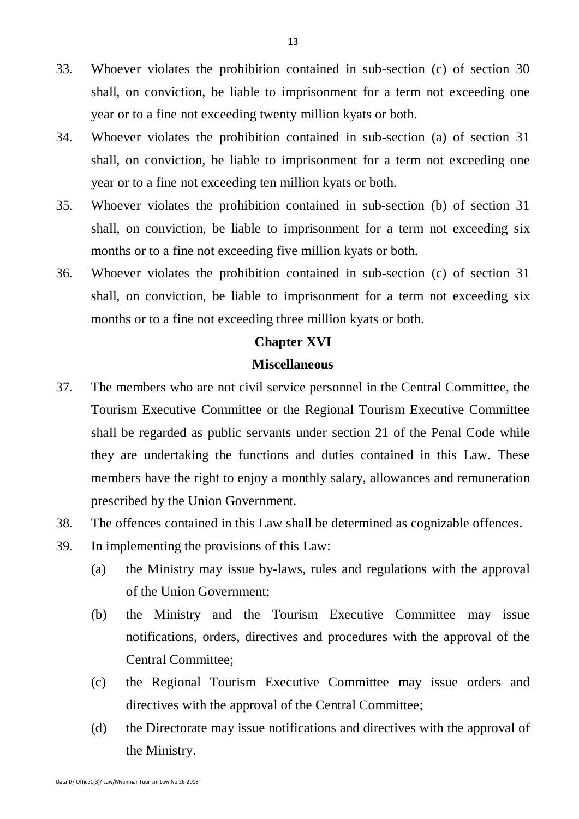- 33. Whoever violates the prohibition contained in sub-section (c) of section 30 shall, on conviction, be liable to imprisonment for a term not exceeding one year or to a fine not exceeding twenty million kyats or both.
- 34. Whoever violates the prohibition contained in sub-section (a) of section 31 shall, on conviction, be liable to imprisonment for a term not exceeding one year or to a fine not exceeding ten million kyats or both.
- 35. Whoever violates the prohibition contained in sub-section (b) of section 31 shall, on conviction, be liable to imprisonment for a term not exceeding six months or to a fine not exceeding five million kyats or both.
- 36. Whoever violates the prohibition contained in sub-section (c) of section 31 shall, on conviction, be liable to imprisonment for a term not exceeding six months or to a fine not exceeding three million kyats or both.

#### **Chapter XVI**

#### **Miscellaneous**

- 37. The members who are not civil service personnel in the Central Committee, the Tourism Executive Committee or the Regional Tourism Executive Committee shall be regarded as public servants under section 21 of the Penal Code while they are undertaking the functions and duties contained in this Law. These members have the right to enjoy a monthly salary, allowances and remuneration prescribed by the Union Government.
- 38. The offences contained in this Law shall be determined as cognizable offences.
- 39. In implementing the provisions of this Law:
	- (a) the Ministry may issue by-laws, rules and regulations with the approval of the Union Government;
	- (b) the Ministry and the Tourism Executive Committee may issue notifications, orders, directives and procedures with the approval of the Central Committee;
	- (c) the Regional Tourism Executive Committee may issue orders and directives with the approval of the Central Committee;
	- (d) the Directorate may issue notifications and directives with the approval of the Ministry.